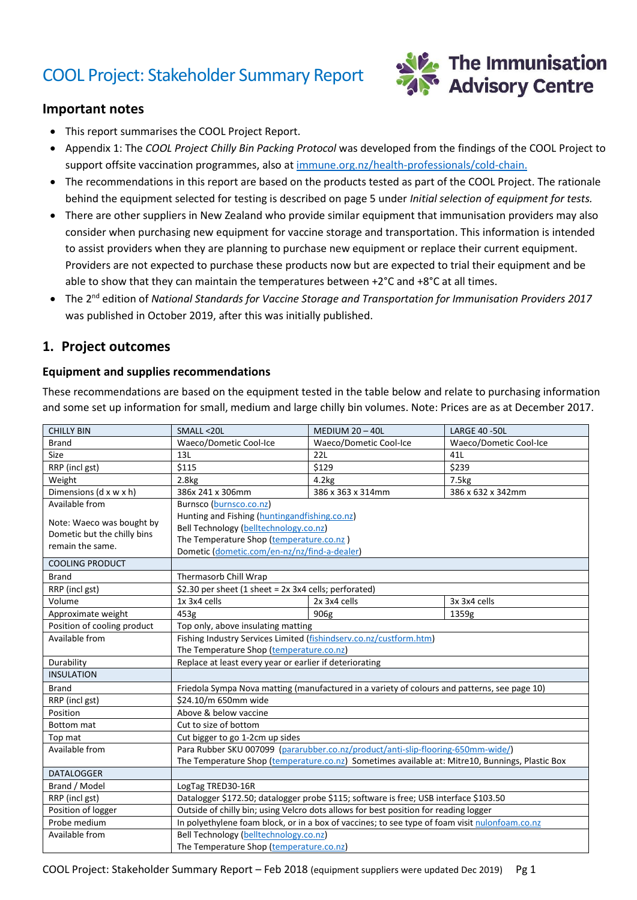# COOL Project: Stakeholder Summary Report



#### **Important notes**

- This report summarises the COOL Project Report.
- Appendix 1: The *COOL Project Chilly Bin Packing Protocol* was developed from the findings of the COOL Project to support offsite vaccination programmes, also at [immune.org.nz/health-professionals/cold-chain.](http://www.immune.org.nz/health-professionals/cold-chain)
- The recommendations in this report are based on the products tested as part of the COOL Project. The rationale behind the equipment selected for testing is described on page 5 under *Initial selection of equipment for tests.*
- There are other suppliers in New Zealand who provide similar equipment that immunisation providers may also consider when purchasing new equipment for vaccine storage and transportation. This information is intended to assist providers when they are planning to purchase new equipment or replace their current equipment. Providers are not expected to purchase these products now but are expected to trial their equipment and be able to show that they can maintain the temperatures between +2°C and +8°C at all times.
- The 2<sup>nd</sup> edition of National Standards for Vaccine Storage and Transportation for Immunisation Providers 2017 was published in October 2019, after this was initially published.

#### **1. Project outcomes**

#### **Equipment and supplies recommendations**

These recommendations are based on the equipment tested in the table below and relate to purchasing information and some set up information for small, medium and large chilly bin volumes. Note: Prices are as at December 2017.

| <b>CHILLY BIN</b>                                                            | SMALL <20L                                                                                      | MEDIUM $20 - 40L$      | <b>LARGE 40 -50L</b>   |
|------------------------------------------------------------------------------|-------------------------------------------------------------------------------------------------|------------------------|------------------------|
| <b>Brand</b>                                                                 | Waeco/Dometic Cool-Ice                                                                          | Waeco/Dometic Cool-Ice | Waeco/Dometic Cool-Ice |
| Size                                                                         | 13L                                                                                             | 22L                    | 41L                    |
| RRP (incl gst)                                                               | \$115                                                                                           | \$129                  | \$239                  |
| Weight                                                                       | 2.8 <sub>kg</sub>                                                                               | 4.2kg                  | 7.5kg                  |
| Dimensions (d x w x h)                                                       | 386x 241 x 306mm                                                                                | 386 x 363 x 314mm      | 386 x 632 x 342mm      |
| Available from                                                               | Burnsco (burnsco.co.nz)                                                                         |                        |                        |
| Note: Waeco was bought by<br>Dometic but the chilly bins<br>remain the same. | Hunting and Fishing (huntingandfishing.co.nz)                                                   |                        |                        |
|                                                                              | Bell Technology (belltechnology.co.nz)                                                          |                        |                        |
|                                                                              | The Temperature Shop (temperature.co.nz)                                                        |                        |                        |
|                                                                              | Dometic (dometic.com/en-nz/nz/find-a-dealer)                                                    |                        |                        |
| <b>COOLING PRODUCT</b>                                                       |                                                                                                 |                        |                        |
| <b>Brand</b>                                                                 | Thermasorb Chill Wrap                                                                           |                        |                        |
| RRP (incl gst)                                                               | \$2.30 per sheet (1 sheet = 2x 3x4 cells; perforated)                                           |                        |                        |
| Volume                                                                       | 1x 3x4 cells                                                                                    | 2x 3x4 cells           | 3x 3x4 cells           |
| Approximate weight                                                           | 453g                                                                                            | 906g                   | 1359g                  |
| Position of cooling product                                                  | Top only, above insulating matting                                                              |                        |                        |
| Available from                                                               | Fishing Industry Services Limited (fishindserv.co.nz/custform.htm)                              |                        |                        |
|                                                                              | The Temperature Shop (temperature.co.nz)                                                        |                        |                        |
| Durability                                                                   | Replace at least every year or earlier if deteriorating                                         |                        |                        |
| <b>INSULATION</b>                                                            |                                                                                                 |                        |                        |
| <b>Brand</b>                                                                 | Friedola Sympa Nova matting (manufactured in a variety of colours and patterns, see page 10)    |                        |                        |
| RRP (incl gst)                                                               | \$24.10/m 650mm wide                                                                            |                        |                        |
| Position                                                                     | Above & below vaccine                                                                           |                        |                        |
| <b>Bottom</b> mat                                                            | Cut to size of bottom                                                                           |                        |                        |
| Top mat                                                                      | Cut bigger to go 1-2cm up sides                                                                 |                        |                        |
| Available from                                                               | Para Rubber SKU 007099 (pararubber.co.nz/product/anti-slip-flooring-650mm-wide/)                |                        |                        |
|                                                                              | The Temperature Shop (temperature.co.nz) Sometimes available at: Mitre10, Bunnings, Plastic Box |                        |                        |
| <b>DATALOGGER</b>                                                            |                                                                                                 |                        |                        |
| Brand / Model                                                                | LogTag TRED30-16R                                                                               |                        |                        |
| RRP (incl gst)                                                               | Datalogger \$172.50; datalogger probe \$115; software is free; USB interface \$103.50           |                        |                        |
| Position of logger                                                           | Outside of chilly bin; using Velcro dots allows for best position for reading logger            |                        |                        |
| Probe medium                                                                 | In polyethylene foam block, or in a box of vaccines; to see type of foam visit nulonfoam.co.nz  |                        |                        |
| Available from                                                               | Bell Technology (belltechnology.co.nz)                                                          |                        |                        |
|                                                                              | The Temperature Shop (temperature.co.nz)                                                        |                        |                        |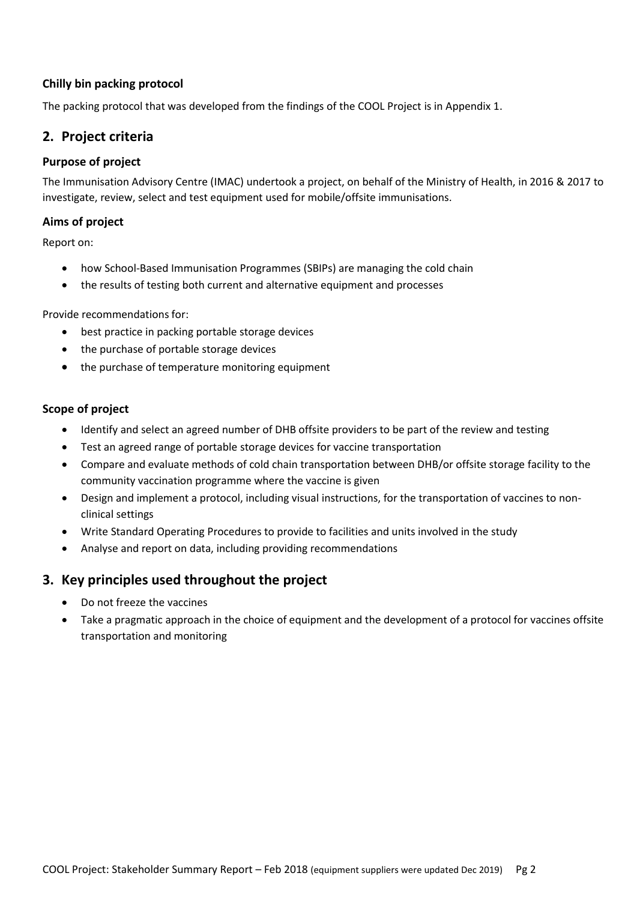#### **Chilly bin packing protocol**

The packing protocol that was developed from the findings of the COOL Project is in Appendix 1.

## **2. Project criteria**

#### **Purpose of project**

The Immunisation Advisory Centre (IMAC) undertook a project, on behalf of the Ministry of Health, in 2016 & 2017 to investigate, review, select and test equipment used for mobile/offsite immunisations.

#### **Aims of project**

Report on:

- how School-Based Immunisation Programmes (SBIPs) are managing the cold chain
- the results of testing both current and alternative equipment and processes

Provide recommendations for:

- best practice in packing portable storage devices
- the purchase of portable storage devices
- the purchase of temperature monitoring equipment

#### **Scope of project**

- Identify and select an agreed number of DHB offsite providers to be part of the review and testing
- Test an agreed range of portable storage devices for vaccine transportation
- Compare and evaluate methods of cold chain transportation between DHB/or offsite storage facility to the community vaccination programme where the vaccine is given
- Design and implement a protocol, including visual instructions, for the transportation of vaccines to nonclinical settings
- Write Standard Operating Procedures to provide to facilities and units involved in the study
- Analyse and report on data, including providing recommendations

## **3. Key principles used throughout the project**

- Do not freeze the vaccines
- Take a pragmatic approach in the choice of equipment and the development of a protocol for vaccines offsite transportation and monitoring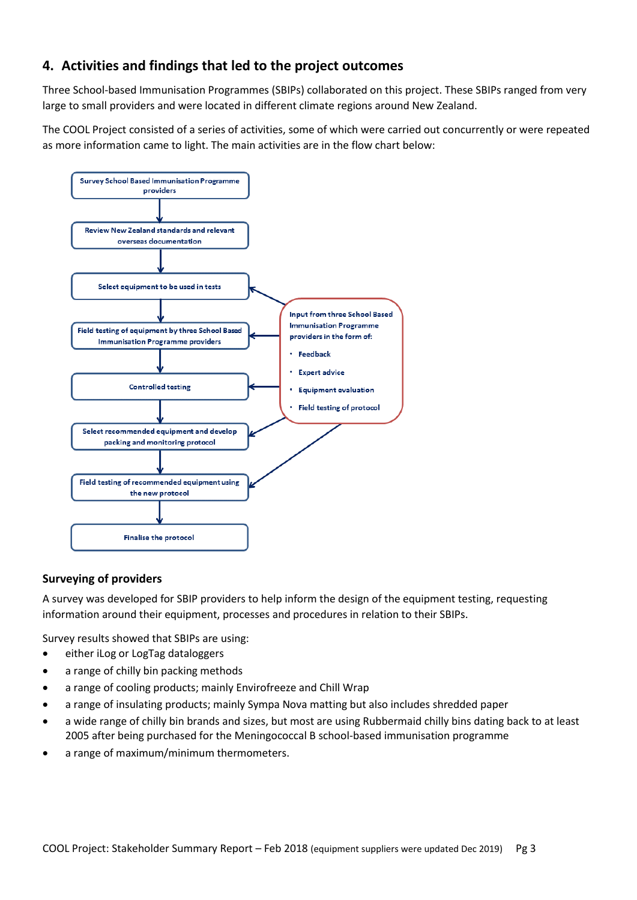## **4. Activities and findings that led to the project outcomes**

Three School-based Immunisation Programmes (SBIPs) collaborated on this project. These SBIPs ranged from very large to small providers and were located in different climate regions around New Zealand.

The COOL Project consisted of a series of activities, some of which were carried out concurrently or were repeated as more information came to light. The main activities are in the flow chart below:



#### **Surveying of providers**

A survey was developed for SBIP providers to help inform the design of the equipment testing, requesting information around their equipment, processes and procedures in relation to their SBIPs.

Survey results showed that SBIPs are using:

- either iLog or LogTag dataloggers
- a range of chilly bin packing methods
- a range of cooling products; mainly Envirofreeze and Chill Wrap
- a range of insulating products; mainly Sympa Nova matting but also includes shredded paper
- a wide range of chilly bin brands and sizes, but most are using Rubbermaid chilly bins dating back to at least 2005 after being purchased for the Meningococcal B school-based immunisation programme
- a range of maximum/minimum thermometers.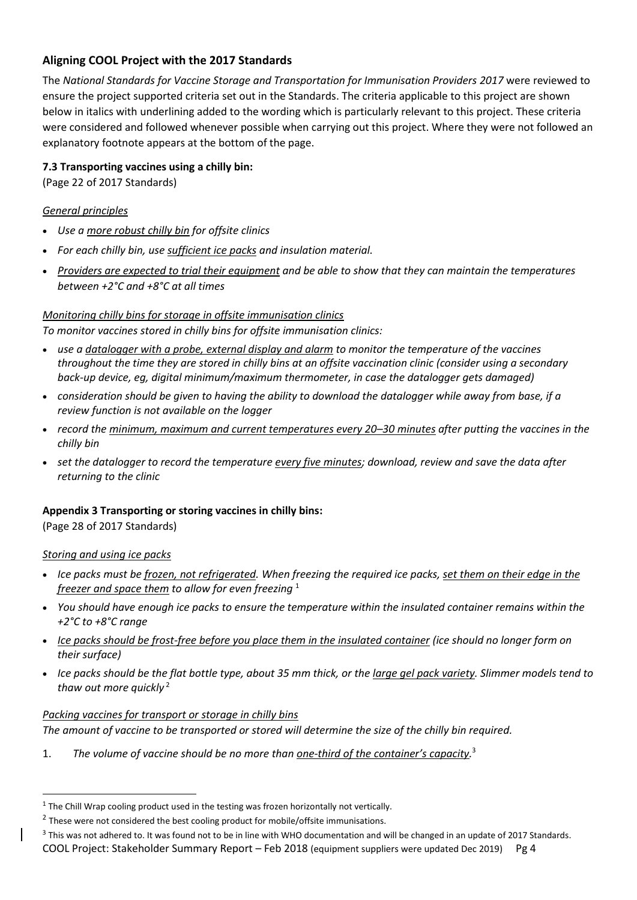## **Aligning COOL Project with the 2017 Standards**

The *National Standards for Vaccine Storage and Transportation for Immunisation Providers 2017* were reviewed to ensure the project supported criteria set out in the Standards. The criteria applicable to this project are shown below in italics with underlining added to the wording which is particularly relevant to this project. These criteria were considered and followed whenever possible when carrying out this project. Where they were not followed an explanatory footnote appears at the bottom of the page.

#### **7.3 Transporting vaccines using a chilly bin:**

(Page 22 of 2017 Standards)

#### *General principles*

- *Use a more robust chilly bin for offsite clinics*
- *For each chilly bin, use sufficient ice packs and insulation material.*
- *Providers are expected to trial their equipment and be able to show that they can maintain the temperatures between +2°C and +8°C at all times*

#### *Monitoring chilly bins for storage in offsite immunisation clinics*

*To monitor vaccines stored in chilly bins for offsite immunisation clinics:*

- *use a datalogger with a probe, external display and alarm to monitor the temperature of the vaccines throughout the time they are stored in chilly bins at an offsite vaccination clinic (consider using a secondary back-up device, eg, digital minimum/maximum thermometer, in case the datalogger gets damaged)*
- *consideration should be given to having the ability to download the datalogger while away from base, if a review function is not available on the logger*
- *record the minimum, maximum and current temperatures every 20–30 minutes after putting the vaccines in the chilly bin*
- *set the datalogger to record the temperature every five minutes; download, review and save the data after returning to the clinic*

#### **Appendix 3 Transporting or storing vaccines in chilly bins:**

(Page 28 of 2017 Standards)

#### *Storing and using ice packs*

- *Ice packs must be frozen, not refrigerated. When freezing the required ice packs, set them on their edge in the freezer and space them to allow for even freezing* <sup>1</sup>
- *You should have enough ice packs to ensure the temperature within the insulated container remains within the +2°C to +8°C range*
- *Ice packs should be frost-free before you place them in the insulated container (ice should no longer form on their surface)*
- *Ice packs should be the flat bottle type, about 35 mm thick, or the large gel pack variety. Slimmer models tend to thaw out more quickly* <sup>2</sup>

#### *Packing vaccines for transport or storage in chilly bins*

*The amount of vaccine to be transported or stored will determine the size of the chilly bin required.*

1. *The volume of vaccine should be no more than one-third of the container's capacity.* 3

COOL Project: Stakeholder Summary Report – Feb 2018 (equipment suppliers were updated Dec 2019) Pg 4

 $<sup>1</sup>$  The Chill Wrap cooling product used in the testing was frozen horizontally not vertically.</sup>

 $2$  These were not considered the best cooling product for mobile/offsite immunisations.

 $3$  This was not adhered to. It was found not to be in line with WHO documentation and will be changed in an update of 2017 Standards.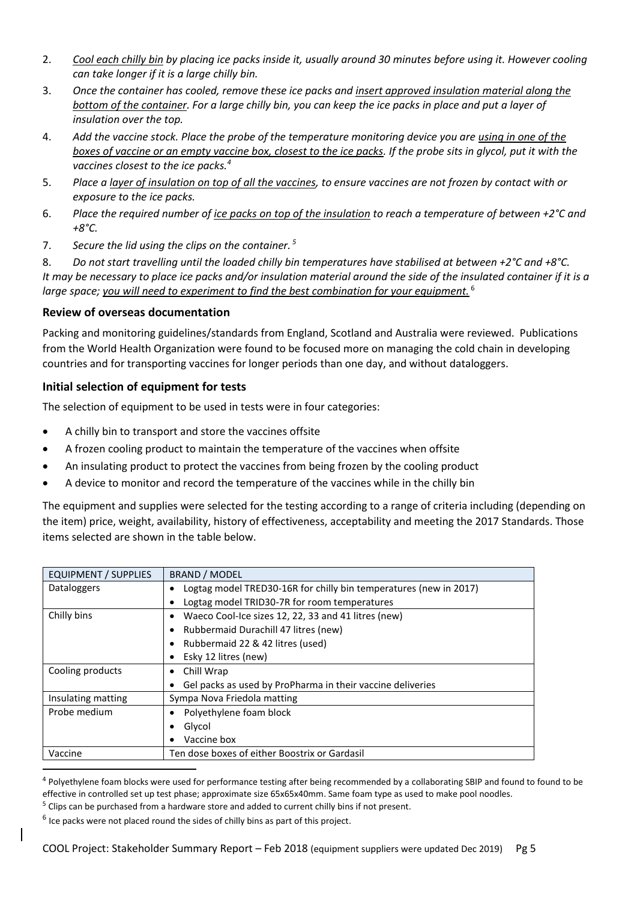- 2. *Cool each chilly bin by placing ice packs inside it, usually around 30 minutes before using it. However cooling can take longer if it is a large chilly bin.*
- 3. *Once the container has cooled, remove these ice packs and insert approved insulation material along the bottom of the container. For a large chilly bin, you can keep the ice packs in place and put a layer of insulation over the top.*
- 4. *Add the vaccine stock. Place the probe of the temperature monitoring device you are using in one of the boxes of vaccine or an empty vaccine box, closest to the ice packs. If the probe sits in glycol, put it with the vaccines closest to the ice packs.<sup>4</sup>*
- 5. *Place a layer of insulation on top of all the vaccines, to ensure vaccines are not frozen by contact with or exposure to the ice packs.*
- 6. *Place the required number of ice packs on top of the insulation to reach a temperature of between +2°C and +8°C.*
- 7. *Secure the lid using the clips on the container. <sup>5</sup>*

8. *Do not start travelling until the loaded chilly bin temperatures have stabilised at between +2°C and +8°C. It may be necessary to place ice packs and/or insulation material around the side of the insulated container if it is a large space; you will need to experiment to find the best combination for your equipment.* <sup>6</sup>

#### **Review of overseas documentation**

Packing and monitoring guidelines/standards from England, Scotland and Australia were reviewed. Publications from the World Health Organization were found to be focused more on managing the cold chain in developing countries and for transporting vaccines for longer periods than one day, and without dataloggers.

#### **Initial selection of equipment for tests**

The selection of equipment to be used in tests were in four categories:

- A chilly bin to transport and store the vaccines offsite
- A frozen cooling product to maintain the temperature of the vaccines when offsite
- An insulating product to protect the vaccines from being frozen by the cooling product
- A device to monitor and record the temperature of the vaccines while in the chilly bin

The equipment and supplies were selected for the testing according to a range of criteria including (depending on the item) price, weight, availability, history of effectiveness, acceptability and meeting the 2017 Standards. Those items selected are shown in the table below.

| <b>EQUIPMENT / SUPPLIES</b> | <b>BRAND / MODEL</b>                                              |  |
|-----------------------------|-------------------------------------------------------------------|--|
| Dataloggers                 | Logtag model TRED30-16R for chilly bin temperatures (new in 2017) |  |
|                             | Logtag model TRID30-7R for room temperatures                      |  |
| Chilly bins                 | Waeco Cool-Ice sizes 12, 22, 33 and 41 litres (new)               |  |
|                             | Rubbermaid Durachill 47 litres (new)                              |  |
|                             | Rubbermaid 22 & 42 litres (used)                                  |  |
|                             | Esky 12 litres (new)                                              |  |
| Cooling products            | Chill Wrap<br>٠                                                   |  |
|                             | Gel packs as used by ProPharma in their vaccine deliveries        |  |
| Insulating matting          | Sympa Nova Friedola matting                                       |  |
| Probe medium                | Polyethylene foam block                                           |  |
|                             | Glycol                                                            |  |
|                             | Vaccine box                                                       |  |
| Vaccine                     | Ten dose boxes of either Boostrix or Gardasil                     |  |

<sup>&</sup>lt;sup>4</sup> Polyethylene foam blocks were used for performance testing after being recommended by a collaborating SBIP and found to found to be effective in controlled set up test phase; approximate size 65x65x40mm. Same foam type as used to make pool noodles.

 $<sup>5</sup>$  Clips can be purchased from a hardware store and added to current chilly bins if not present.</sup>

 $<sup>6</sup>$  Ice packs were not placed round the sides of chilly bins as part of this project.</sup>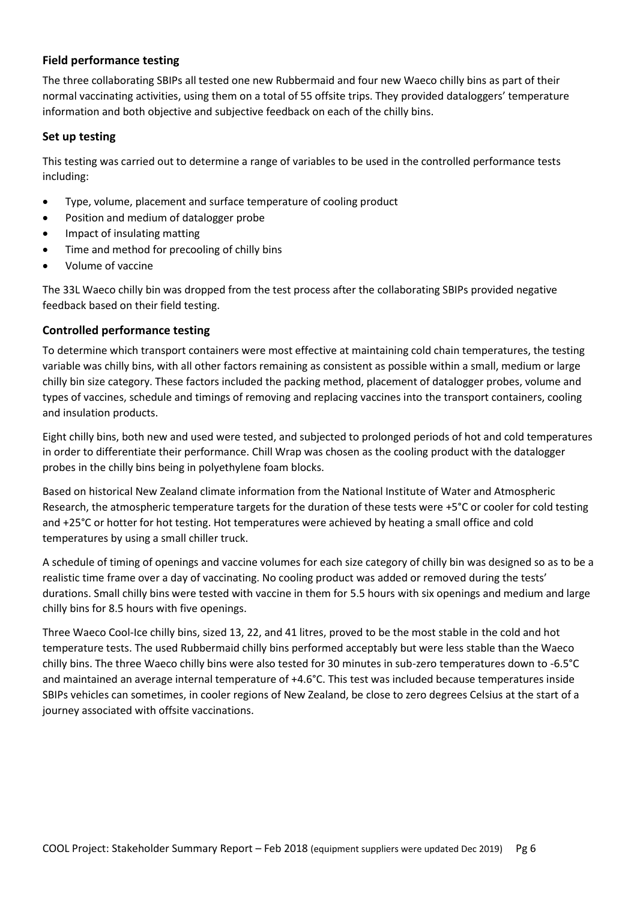#### **Field performance testing**

The three collaborating SBIPs all tested one new Rubbermaid and four new Waeco chilly bins as part of their normal vaccinating activities, using them on a total of 55 offsite trips. They provided dataloggers' temperature information and both objective and subjective feedback on each of the chilly bins.

#### **Set up testing**

This testing was carried out to determine a range of variables to be used in the controlled performance tests including:

- Type, volume, placement and surface temperature of cooling product
- Position and medium of datalogger probe
- Impact of insulating matting
- Time and method for precooling of chilly bins
- Volume of vaccine

The 33L Waeco chilly bin was dropped from the test process after the collaborating SBIPs provided negative feedback based on their field testing.

#### **Controlled performance testing**

To determine which transport containers were most effective at maintaining cold chain temperatures, the testing variable was chilly bins, with all other factors remaining as consistent as possible within a small, medium or large chilly bin size category. These factors included the packing method, placement of datalogger probes, volume and types of vaccines, schedule and timings of removing and replacing vaccines into the transport containers, cooling and insulation products.

Eight chilly bins, both new and used were tested, and subjected to prolonged periods of hot and cold temperatures in order to differentiate their performance. Chill Wrap was chosen as the cooling product with the datalogger probes in the chilly bins being in polyethylene foam blocks.

Based on historical New Zealand climate information from the National Institute of Water and Atmospheric Research, the atmospheric temperature targets for the duration of these tests were +5°C or cooler for cold testing and +25°C or hotter for hot testing. Hot temperatures were achieved by heating a small office and cold temperatures by using a small chiller truck.

A schedule of timing of openings and vaccine volumes for each size category of chilly bin was designed so as to be a realistic time frame over a day of vaccinating. No cooling product was added or removed during the tests' durations. Small chilly bins were tested with vaccine in them for 5.5 hours with six openings and medium and large chilly bins for 8.5 hours with five openings.

Three Waeco Cool-Ice chilly bins, sized 13, 22, and 41 litres, proved to be the most stable in the cold and hot temperature tests. The used Rubbermaid chilly bins performed acceptably but were less stable than the Waeco chilly bins. The three Waeco chilly bins were also tested for 30 minutes in sub-zero temperatures down to -6.5°C and maintained an average internal temperature of +4.6°C. This test was included because temperatures inside SBIPs vehicles can sometimes, in cooler regions of New Zealand, be close to zero degrees Celsius at the start of a journey associated with offsite vaccinations.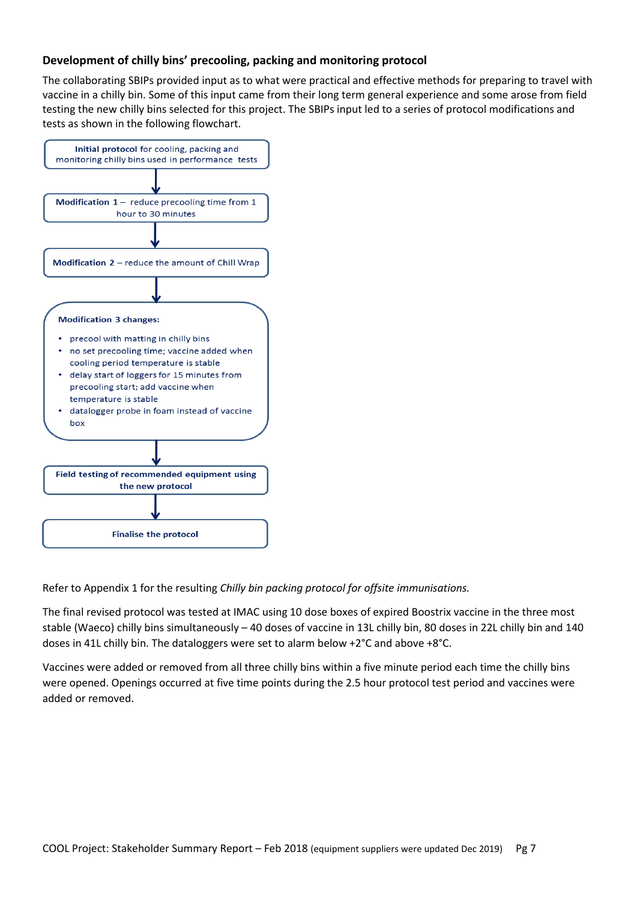#### **Development of chilly bins' precooling, packing and monitoring protocol**

The collaborating SBIPs provided input as to what were practical and effective methods for preparing to travel with vaccine in a chilly bin. Some of this input came from their long term general experience and some arose from field testing the new chilly bins selected for this project. The SBIPs input led to a series of protocol modifications and tests as shown in the following flowchart.



Refer to Appendix 1 for the resulting *Chilly bin packing protocol for offsite immunisations.*

The final revised protocol was tested at IMAC using 10 dose boxes of expired Boostrix vaccine in the three most stable (Waeco) chilly bins simultaneously – 40 doses of vaccine in 13L chilly bin, 80 doses in 22L chilly bin and 140 doses in 41L chilly bin. The dataloggers were set to alarm below +2°C and above +8°C.

Vaccines were added or removed from all three chilly bins within a five minute period each time the chilly bins were opened. Openings occurred at five time points during the 2.5 hour protocol test period and vaccines were added or removed.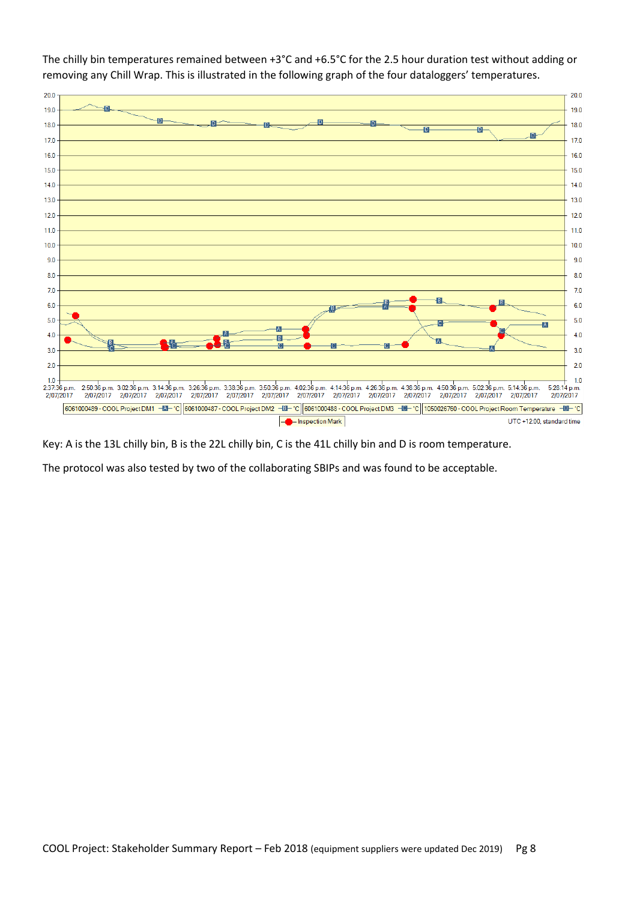

The chilly bin temperatures remained between +3°C and +6.5°C for the 2.5 hour duration test without adding or removing any Chill Wrap. This is illustrated in the following graph of the four dataloggers' temperatures.

Key: A is the 13L chilly bin, B is the 22L chilly bin, C is the 41L chilly bin and D is room temperature.

The protocol was also tested by two of the collaborating SBIPs and was found to be acceptable.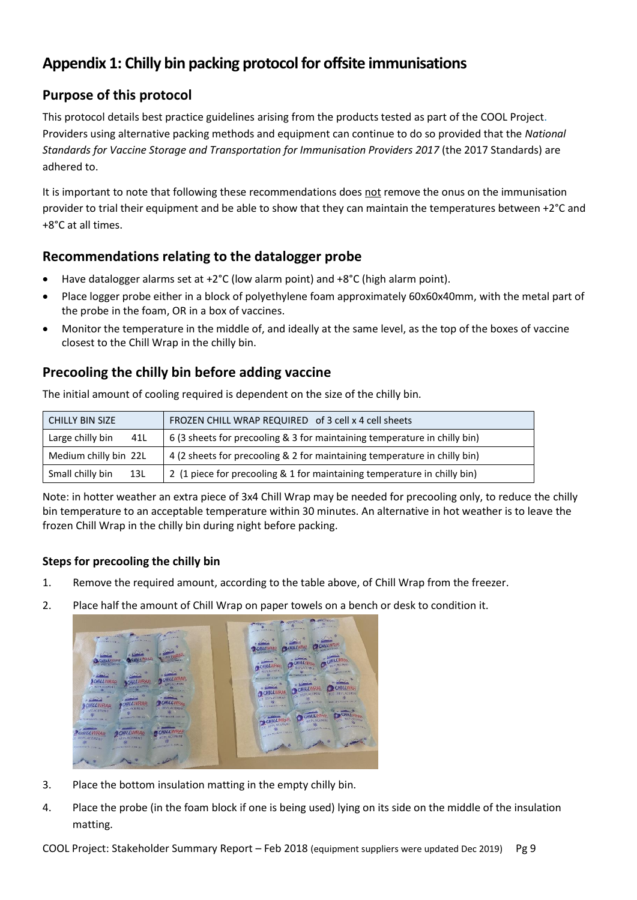## **Appendix 1: Chilly bin packing protocol for offsite immunisations**

## **Purpose of this protocol**

This protocol details best practice guidelines arising from the products tested as part of the COOL Project. Providers using alternative packing methods and equipment can continue to do so provided that the *National Standards for Vaccine Storage and Transportation for Immunisation Providers 2017* (the 2017 Standards) are adhered to.

It is important to note that following these recommendations does not remove the onus on the immunisation provider to trial their equipment and be able to show that they can maintain the temperatures between +2°C and +8°C at all times.

## **Recommendations relating to the datalogger probe**

- Have datalogger alarms set at +2°C (low alarm point) and +8°C (high alarm point).
- Place logger probe either in a block of polyethylene foam approximately 60x60x40mm, with the metal part of the probe in the foam, OR in a box of vaccines.
- Monitor the temperature in the middle of, and ideally at the same level, as the top of the boxes of vaccine closest to the Chill Wrap in the chilly bin.

## **Precooling the chilly bin before adding vaccine**

The initial amount of cooling required is dependent on the size of the chilly bin.  $F = \frac{1}{2}$  FROZEN CHILL WRAP REQUIRED of 3 cell x 4 cell sheets Large chilly bin  $41L$  6 (3 sheets for precooling & 3 for maintaining temperature in chilly bin)

| <b>UNILLY DIN SILE</b><br><b>FRUZEN CHILL WRAP REQUIRED OF 5 CEIL X 4 CEIL SHEELS</b> |                                                                           |
|---------------------------------------------------------------------------------------|---------------------------------------------------------------------------|
| Large chilly bin<br>41L                                                               | 6 (3 sheets for precooling & 3 for maintaining temperature in chilly bin) |
| Medium chilly bin 22L                                                                 | 4 (2 sheets for precooling & 2 for maintaining temperature in chilly bin) |
| Small chilly bin<br>13L                                                               | 2 (1 piece for precooling & 1 for maintaining temperature in chilly bin)  |

Note: in hotter weather an extra piece of 3x4 Chill Wrap may be needed for precooling only, to reduce the chilly bin temperature to an acceptable temperature within 30 minutes. An alternative in hot weather is to leave the frozen Chill Wrap in the chilly bin during night before packing.

#### **Steps for precooling the chilly bin**

- 1. Remove the required amount, according to the table above, of Chill Wrap from the freezer.
- 2. Place half the amount of Chill Wrap on paper towels on a bench or desk to condition it.



- 3. Place the bottom insulation matting in the empty chilly bin.
- 4. Place the probe (in the foam block if one is being used) lying on its side on the middle of the insulation matting.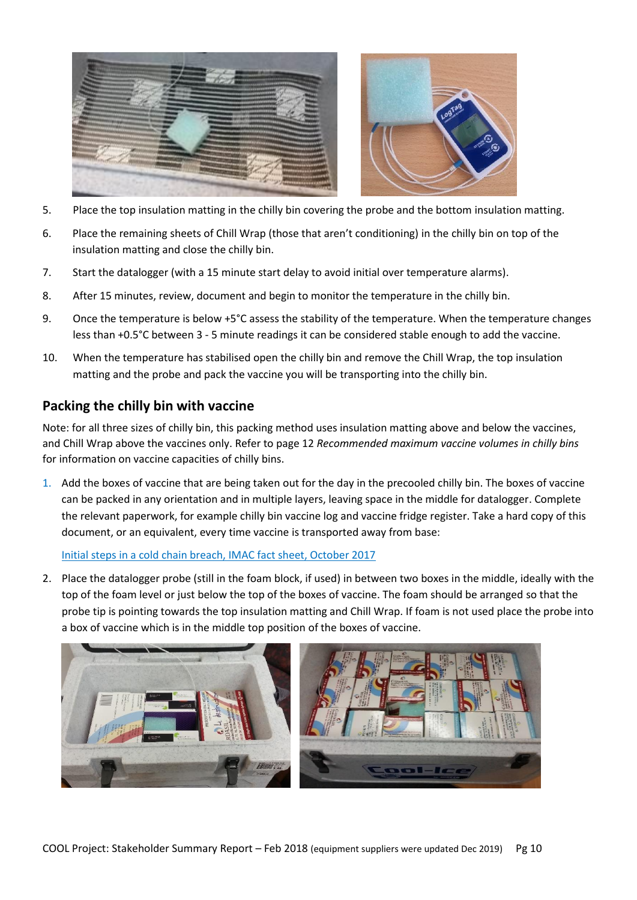

- 5. Place the top insulation matting in the chilly bin covering the probe and the bottom insulation matting.
- 6. Place the remaining sheets of Chill Wrap (those that aren't conditioning) in the chilly bin on top of the insulation matting and close the chilly bin.
- 7. Start the datalogger (with a 15 minute start delay to avoid initial over temperature alarms).
- 8. After 15 minutes, review, document and begin to monitor the temperature in the chilly bin.
- 9. Once the temperature is below +5°C assess the stability of the temperature. When the temperature changes less than +0.5°C between 3 - 5 minute readings it can be considered stable enough to add the vaccine.
- 10. When the temperature has stabilised open the chilly bin and remove the Chill Wrap, the top insulation matting and the probe and pack the vaccine you will be transporting into the chilly bin.

## **Packing the chilly bin with vaccine**

Note: for all three sizes of chilly bin, this packing method uses insulation matting above and below the vaccines, and Chill Wrap above the vaccines only. Refer to page 12 *Recommended maximum vaccine volumes in chilly bins* for information on vaccine capacities of chilly bins.

1. Add the boxes of vaccine that are being taken out for the day in the precooled chilly bin. The boxes of vaccine can be packed in any orientation and in multiple layers, leaving space in the middle for datalogger. Complete the relevant paperwork, for example chilly bin vaccine log and vaccine fridge register. Take a hard copy of this document, or an equivalent, every time vaccine is transported away from base:

[Initial steps in a cold chain breach, IMAC fact sheet, October 2017](http://www.immune.org.nz/sites/default/files/resources/Written%20Resources/StandardTempBreachImac20171021V01Final.pdf) 

2. Place the datalogger probe (still in the foam block, if used) in between two boxes in the middle, ideally with the top of the foam level or just below the top of the boxes of vaccine. The foam should be arranged so that the probe tip is pointing towards the top insulation matting and Chill Wrap. If foam is not used place the probe into a box of vaccine which is in the middle top position of the boxes of vaccine.

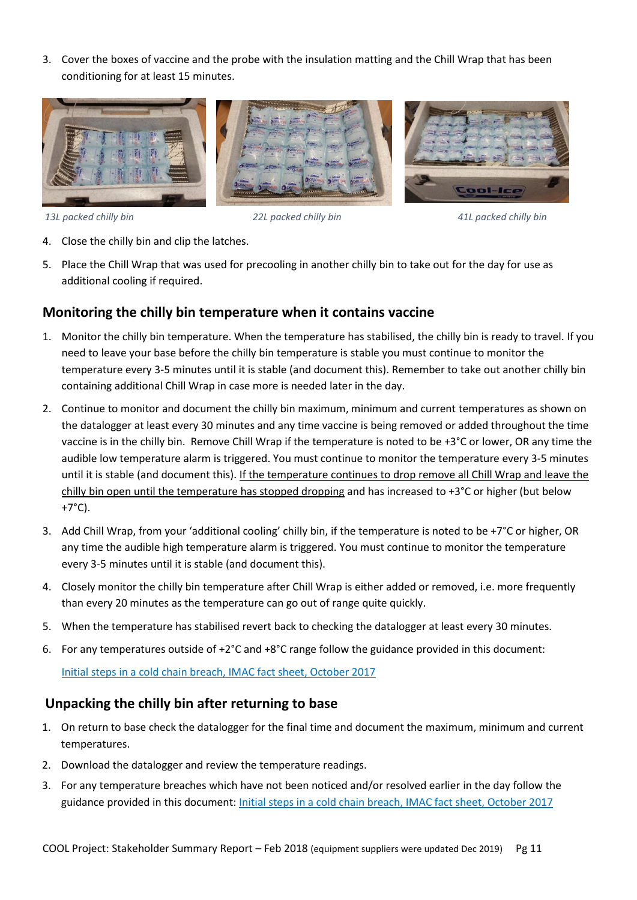3. Cover the boxes of vaccine and the probe with the insulation matting and the Chill Wrap that has been conditioning for at least 15 minutes.



*13L packed chilly bin 22L packed chilly bin 41L packed chilly bin*

- 4. Close the chilly bin and clip the latches.
- 5. Place the Chill Wrap that was used for precooling in another chilly bin to take out for the day for use as additional cooling if required.

#### **Monitoring the chilly bin temperature when it contains vaccine**

- 1. Monitor the chilly bin temperature. When the temperature has stabilised, the chilly bin is ready to travel. If you need to leave your base before the chilly bin temperature is stable you must continue to monitor the temperature every 3-5 minutes until it is stable (and document this). Remember to take out another chilly bin containing additional Chill Wrap in case more is needed later in the day.
- 2. Continue to monitor and document the chilly bin maximum, minimum and current temperatures as shown on the datalogger at least every 30 minutes and any time vaccine is being removed or added throughout the time vaccine is in the chilly bin. Remove Chill Wrap if the temperature is noted to be +3°C or lower, OR any time the audible low temperature alarm is triggered. You must continue to monitor the temperature every 3-5 minutes until it is stable (and document this). If the temperature continues to drop remove all Chill Wrap and leave the chilly bin open until the temperature has stopped dropping and has increased to +3°C or higher (but below +7°C).
- 3. Add Chill Wrap, from your 'additional cooling' chilly bin, if the temperature is noted to be +7°C or higher, OR any time the audible high temperature alarm is triggered. You must continue to monitor the temperature every 3-5 minutes until it is stable (and document this).
- 4. Closely monitor the chilly bin temperature after Chill Wrap is either added or removed, i.e. more frequently than every 20 minutes as the temperature can go out of range quite quickly.
- 5. When the temperature has stabilised revert back to checking the datalogger at least every 30 minutes.
- 6. For any temperatures outside of +2°C and +8°C range follow the guidance provided in this document:

[Initial steps in a cold chain breach, IMAC fact sheet, October 2017](http://www.immune.org.nz/sites/default/files/resources/Written%20Resources/StandardTempBreachImac20171021V01Final.pdf)

#### **Unpacking the chilly bin after returning to base**

- 1. On return to base check the datalogger for the final time and document the maximum, minimum and current temperatures.
- 2. Download the datalogger and review the temperature readings.
- 3. For any temperature breaches which have not been noticed and/or resolved earlier in the day follow the guidance provided in this document: [Initial steps in a cold chain breach, IMAC fact sheet, October 2017](http://www.immune.org.nz/sites/default/files/resources/Written%20Resources/StandardTempBreachImac20171021V01Final.pdf)